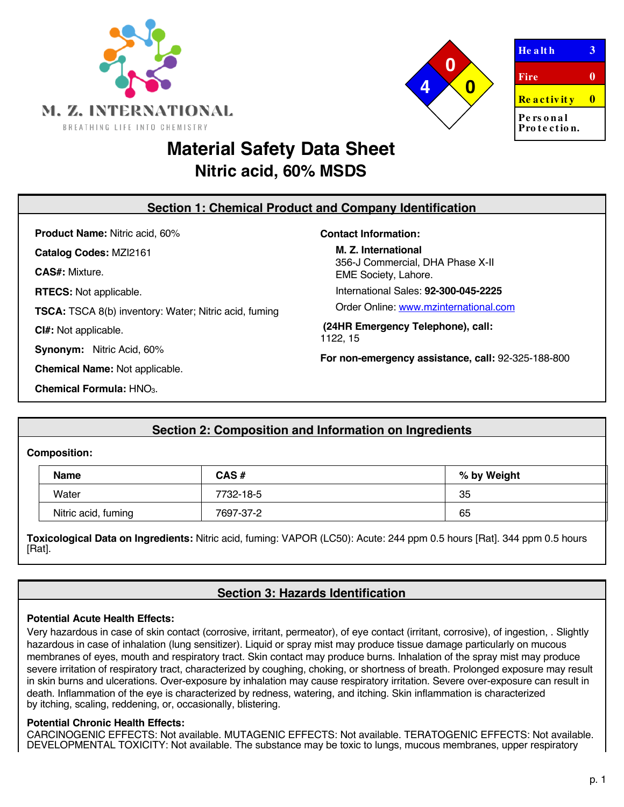



 $He$  a lt **h**  $3$ **Fire 0 Re a c t iv it y 0 Pe rs o n a l** Pro *te* ction.

# **Material Safety Data Sheet Nitric acid, 60% MSDS**

| <b>Section 1: Chemical Product and Company Identification</b> |                                                          |  |  |
|---------------------------------------------------------------|----------------------------------------------------------|--|--|
| <b>Product Name: Nitric acid, 60%</b>                         | <b>Contact Information:</b>                              |  |  |
| Catalog Codes: MZI2161                                        | M. Z. International                                      |  |  |
| <b>CAS#: Mixture.</b>                                         | 356-J Commercial, DHA Phase X-II<br>EME Society, Lahore. |  |  |
| <b>RTECS:</b> Not applicable.                                 | International Sales: 92-300-045-2225                     |  |  |
| <b>TSCA:</b> TSCA 8(b) inventory: Water; Nitric acid, fuming  | Order Online: www.mzinternational.com                    |  |  |
| Cl#: Not applicable.                                          | (24HR Emergency Telephone), call:<br>1122.15             |  |  |
| Nitric Acid, 60%<br>Synonym:                                  | For non-emergency assistance, call: 92-325-188-800       |  |  |
| <b>Chemical Name: Not applicable.</b>                         |                                                          |  |  |
| Chemical Formula: HNO <sub>3</sub> .                          |                                                          |  |  |

# **Section 2: Composition and Information on Ingredients**

# **Composition:**

| <b>Name</b>         | $CAS \#$  | % by Weight |
|---------------------|-----------|-------------|
| Water               | 7732-18-5 | 35          |
| Nitric acid, fuming | 7697-37-2 | 65          |

**Toxicological Data on Ingredients:** Nitric acid, fuming: VAPOR (LC50): Acute: 244 ppm 0.5 hours [Rat]. 344 ppm 0.5 hours [Rat].

# **Section 3: Hazards Identification**

# **Potential Acute Health Effects:**

Very hazardous in case of skin contact (corrosive, irritant, permeator), of eye contact (irritant, corrosive), of ingestion, . Slightly hazardous in case of inhalation (lung sensitizer). Liquid or spray mist may produce tissue damage particularly on mucous membranes of eyes, mouth and respiratory tract. Skin contact may produce burns. Inhalation of the spray mist may produce severe irritation of respiratory tract, characterized by coughing, choking, or shortness of breath. Prolonged exposure may result in skin burns and ulcerations. Over-exposure by inhalation may cause respiratory irritation. Severe over-exposure can result in death. Inflammation of the eye is characterized by redness, watering, and itching. Skin inflammation is characterized by itching, scaling, reddening, or, occasionally, blistering.

# **Potential Chronic Health Effects:**

CARCINOGENIC EFFECTS: Not available. MUTAGENIC EFFECTS: Not available. TERATOGENIC EFFECTS: Not available. DEVELOPMENTAL TOXICITY: Not available. The substance may be toxic to lungs, mucous membranes, upper respiratory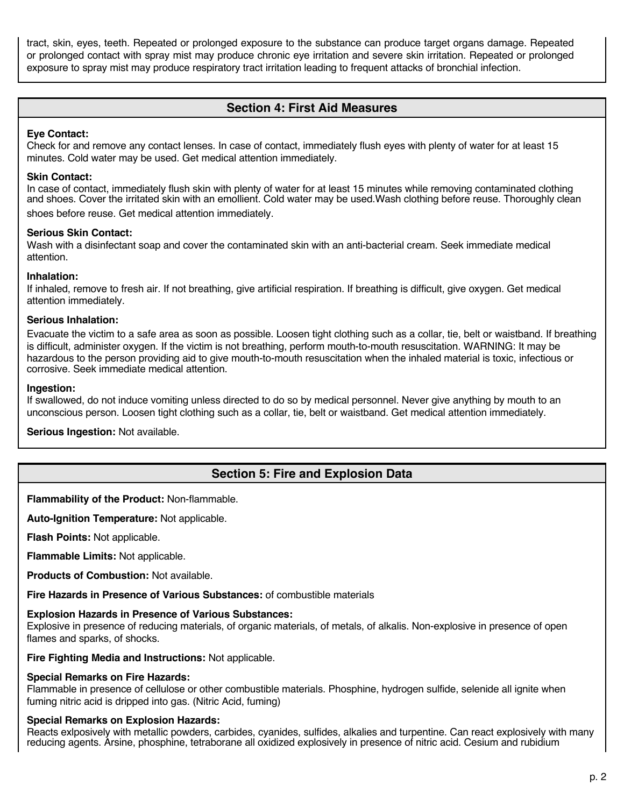tract, skin, eyes, teeth. Repeated or prolonged exposure to the substance can produce target organs damage. Repeated or prolonged contact with spray mist may produce chronic eye irritation and severe skin irritation. Repeated or prolonged exposure to spray mist may produce respiratory tract irritation leading to frequent attacks of bronchial infection.

# **Section 4: First Aid Measures**

# **Eye Contact:**

Check for and remove any contact lenses. In case of contact, immediately flush eyes with plenty of water for at least 15 minutes. Cold water may be used. Get medical attention immediately.

# **Skin Contact:**

In case of contact, immediately flush skin with plenty of water for at least 15 minutes while removing contaminated clothing and shoes. Cover the irritated skin with an emollient. Cold water may be used.Wash clothing before reuse. Thoroughly clean shoes before reuse. Get medical attention immediately.

### **Serious Skin Contact:**

Wash with a disinfectant soap and cover the contaminated skin with an anti-bacterial cream. Seek immediate medical attention.

### **Inhalation:**

If inhaled, remove to fresh air. If not breathing, give artificial respiration. If breathing is difficult, give oxygen. Get medical attention immediately.

### **Serious Inhalation:**

Evacuate the victim to a safe area as soon as possible. Loosen tight clothing such as a collar, tie, belt or waistband. If breathing is difficult, administer oxygen. If the victim is not breathing, perform mouth-to-mouth resuscitation. WARNING: It may be hazardous to the person providing aid to give mouth-to-mouth resuscitation when the inhaled material is toxic, infectious or corrosive. Seek immediate medical attention.

### **Ingestion:**

If swallowed, do not induce vomiting unless directed to do so by medical personnel. Never give anything by mouth to an unconscious person. Loosen tight clothing such as a collar, tie, belt or waistband. Get medical attention immediately.

**Serious Ingestion:** Not available.

# **Section 5: Fire and Explosion Data**

**Flammability of the Product:** Non-flammable.

**Auto-Ignition Temperature:** Not applicable.

**Flash Points:** Not applicable.

**Flammable Limits:** Not applicable.

**Products of Combustion:** Not available.

**Fire Hazards in Presence of Various Substances:** of combustible materials

# **Explosion Hazards in Presence of Various Substances:**

Explosive in presence of reducing materials, of organic materials, of metals, of alkalis. Non-explosive in presence of open flames and sparks, of shocks.

**Fire Fighting Media and Instructions:** Not applicable.

# **Special Remarks on Fire Hazards:**

Flammable in presence of cellulose or other combustible materials. Phosphine, hydrogen sulfide, selenide all ignite when fuming nitric acid is dripped into gas. (Nitric Acid, fuming)

# **Special Remarks on Explosion Hazards:**

Reacts exlposively with metallic powders, carbides, cyanides, sulfides, alkalies and turpentine. Can react explosively with many reducing agents. Arsine, phosphine, tetraborane all oxidized explosively in presence of nitric acid. Cesium and rubidium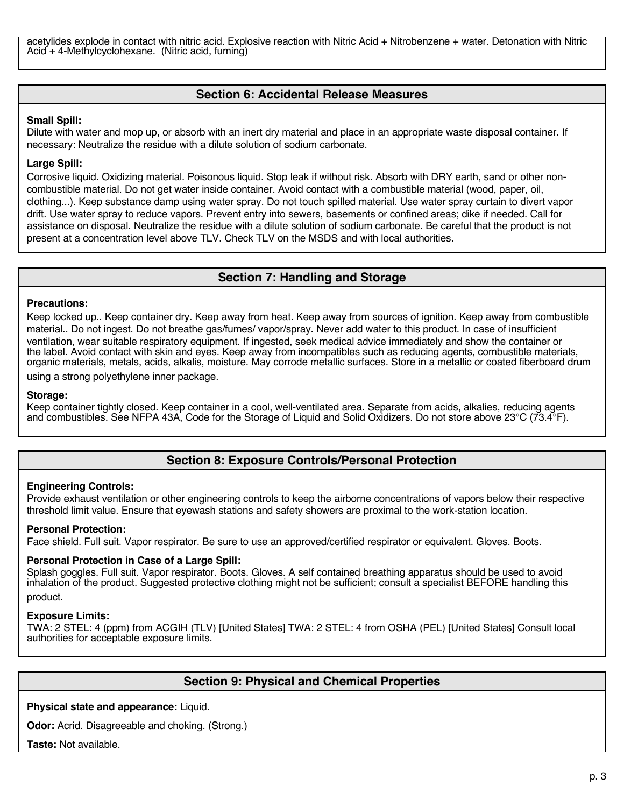acetylides explode in contact with nitric acid. Explosive reaction with Nitric Acid + Nitrobenzene + water. Detonation with Nitric Acid + 4-Methylcyclohexane. (Nitric acid, fuming)

# **Section 6: Accidental Release Measures**

#### **Small Spill:**

Dilute with water and mop up, or absorb with an inert dry material and place in an appropriate waste disposal container. If necessary: Neutralize the residue with a dilute solution of sodium carbonate.

### **Large Spill:**

Corrosive liquid. Oxidizing material. Poisonous liquid. Stop leak if without risk. Absorb with DRY earth, sand or other noncombustible material. Do not get water inside container. Avoid contact with a combustible material (wood, paper, oil, clothing...). Keep substance damp using water spray. Do not touch spilled material. Use water spray curtain to divert vapor drift. Use water spray to reduce vapors. Prevent entry into sewers, basements or confined areas; dike if needed. Call for assistance on disposal. Neutralize the residue with a dilute solution of sodium carbonate. Be careful that the product is not present at a concentration level above TLV. Check TLV on the MSDS and with local authorities.

# **Section 7: Handling and Storage**

#### **Precautions:**

Keep locked up.. Keep container dry. Keep away from heat. Keep away from sources of ignition. Keep away from combustible material.. Do not ingest. Do not breathe gas/fumes/ vapor/spray. Never add water to this product. In case of insufficient ventilation, wear suitable respiratory equipment. If ingested, seek medical advice immediately and show the container or the label. Avoid contact with skin and eyes. Keep away from incompatibles such as reducing agents, combustible materials, organic materials, metals, acids, alkalis, moisture. May corrode metallic surfaces. Store in a metallic or coated fiberboard drum

using a strong polyethylene inner package.

#### **Storage:**

Keep container tightly closed. Keep container in a cool, well-ventilated area. Separate from acids, alkalies, reducing agents and combustibles. See NFPA 43A, Code for the Storage of Liquid and Solid Oxidizers. Do not store above 23°C (73.4°F).

# **Section 8: Exposure Controls/Personal Protection**

### **Engineering Controls:**

Provide exhaust ventilation or other engineering controls to keep the airborne concentrations of vapors below their respective threshold limit value. Ensure that eyewash stations and safety showers are proximal to the work-station location.

### **Personal Protection:**

Face shield. Full suit. Vapor respirator. Be sure to use an approved/certified respirator or equivalent. Gloves. Boots.

### **Personal Protection in Case of a Large Spill:**

Splash goggles. Full suit. Vapor respirator. Boots. Gloves. A self contained breathing apparatus should be used to avoid inhalation of the product. Suggested protective clothing might not be sufficient; consult a specialist BEFORE handling this product.

#### **Exposure Limits:**

TWA: 2 STEL: 4 (ppm) from ACGIH (TLV) [United States] TWA: 2 STEL: 4 from OSHA (PEL) [United States] Consult local authorities for acceptable exposure limits.

# **Section 9: Physical and Chemical Properties**

### **Physical state and appearance:** Liquid.

**Odor:** Acrid. Disagreeable and choking. (Strong.)

**Taste:** Not available.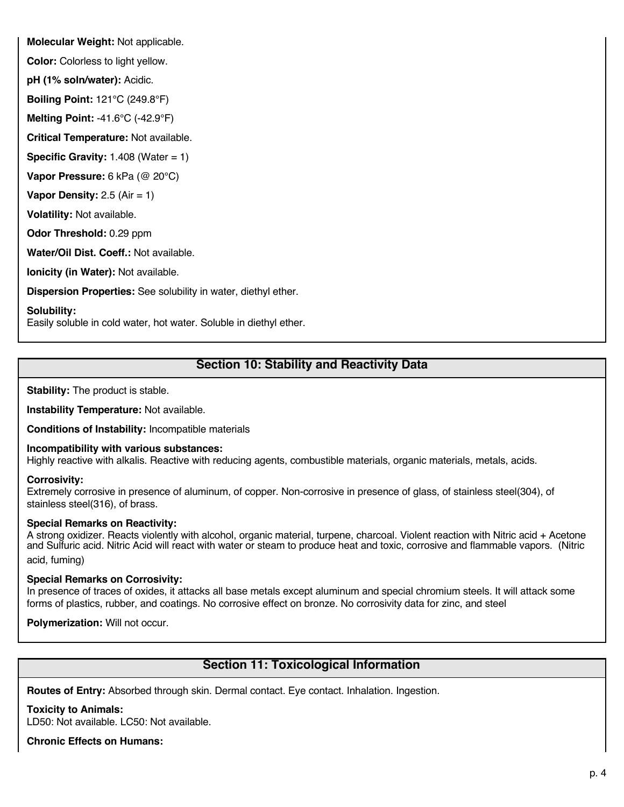**Molecular Weight:** Not applicable.

**Color:** Colorless to light yellow.

**pH (1% soln/water):** Acidic.

**Boiling Point:** 121°C (249.8°F)

**Melting Point:** -41.6°C (-42.9°F)

**Critical Temperature:** Not available.

**Specific Gravity: 1.408 (Water = 1)** 

**Vapor Pressure:** 6 kPa (@ 20°C)

**Vapor Density:** 2.5 (Air = 1)

**Volatility:** Not available.

**Odor Threshold:** 0.29 ppm

**Water/Oil Dist. Coeff.:** Not available.

**Ionicity (in Water):** Not available.

**Dispersion Properties:** See solubility in water, diethyl ether.

**Solubility:**

Easily soluble in cold water, hot water. Soluble in diethyl ether.

# **Section 10: Stability and Reactivity Data**

**Stability:** The product is stable.

**Instability Temperature:** Not available.

**Conditions of Instability:** Incompatible materials

### **Incompatibility with various substances:**

Highly reactive with alkalis. Reactive with reducing agents, combustible materials, organic materials, metals, acids.

### **Corrosivity:**

Extremely corrosive in presence of aluminum, of copper. Non-corrosive in presence of glass, of stainless steel(304), of stainless steel(316), of brass.

### **Special Remarks on Reactivity:**

A strong oxidizer. Reacts violently with alcohol, organic material, turpene, charcoal. Violent reaction with Nitric acid + Acetone and Sulfuric acid. Nitric Acid will react with water or steam to produce heat and toxic, corrosive and flammable vapors. (Nitric acid, fuming)

# **Special Remarks on Corrosivity:**

In presence of traces of oxides, it attacks all base metals except aluminum and special chromium steels. It will attack some forms of plastics, rubber, and coatings. No corrosive effect on bronze. No corrosivity data for zinc, and steel

**Polymerization:** Will not occur.

# **Section 11: Toxicological Information**

**Routes of Entry:** Absorbed through skin. Dermal contact. Eye contact. Inhalation. Ingestion.

**Toxicity to Animals:**

LD50: Not available. LC50: Not available.

**Chronic Effects on Humans:**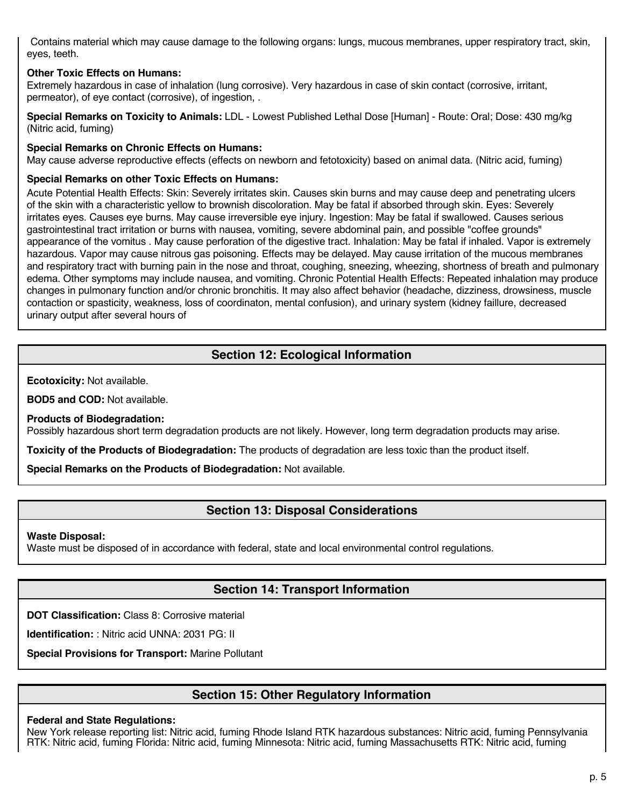Contains material which may cause damage to the following organs: lungs, mucous membranes, upper respiratory tract, skin, eyes, teeth.

# **Other Toxic Effects on Humans:**

Extremely hazardous in case of inhalation (lung corrosive). Very hazardous in case of skin contact (corrosive, irritant, permeator), of eye contact (corrosive), of ingestion, .

**Special Remarks on Toxicity to Animals:** LDL - Lowest Published Lethal Dose [Human] - Route: Oral; Dose: 430 mg/kg (Nitric acid, fuming)

# **Special Remarks on Chronic Effects on Humans:**

May cause adverse reproductive effects (effects on newborn and fetotoxicity) based on animal data. (Nitric acid, fuming)

### **Special Remarks on other Toxic Effects on Humans:**

Acute Potential Health Effects: Skin: Severely irritates skin. Causes skin burns and may cause deep and penetrating ulcers of the skin with a characteristic yellow to brownish discoloration. May be fatal if absorbed through skin. Eyes: Severely irritates eyes. Causes eye burns. May cause irreversible eye injury. Ingestion: May be fatal if swallowed. Causes serious gastrointestinal tract irritation or burns with nausea, vomiting, severe abdominal pain, and possible "coffee grounds" appearance of the vomitus . May cause perforation of the digestive tract. Inhalation: May be fatal if inhaled. Vapor is extremely hazardous. Vapor may cause nitrous gas poisoning. Effects may be delayed. May cause irritation of the mucous membranes and respiratory tract with burning pain in the nose and throat, coughing, sneezing, wheezing, shortness of breath and pulmonary edema. Other symptoms may include nausea, and vomiting. Chronic Potential Health Effects: Repeated inhalation may produce changes in pulmonary function and/or chronic bronchitis. It may also affect behavior (headache, dizziness, drowsiness, muscle contaction or spasticity, weakness, loss of coordinaton, mental confusion), and urinary system (kidney faillure, decreased urinary output after several hours of

# **Section 12: Ecological Information**

**Ecotoxicity:** Not available.

**BOD5 and COD:** Not available.

**Products of Biodegradation:**

Possibly hazardous short term degradation products are not likely. However, long term degradation products may arise.

**Toxicity of the Products of Biodegradation:** The products of degradation are less toxic than the product itself.

**Special Remarks on the Products of Biodegradation:** Not available.

# **Section 13: Disposal Considerations**

**Waste Disposal:**

Waste must be disposed of in accordance with federal, state and local environmental control regulations.

# **Section 14: Transport Information**

**DOT Classification:** Class 8: Corrosive material

**Identification:** : Nitric acid UNNA: 2031 PG: II

**Special Provisions for Transport:** Marine Pollutant

# **Section 15: Other Regulatory Information**

### **Federal and State Regulations:**

New York release reporting list: Nitric acid, fuming Rhode Island RTK hazardous substances: Nitric acid, fuming Pennsylvania RTK: Nitric acid, fuming Florida: Nitric acid, fuming Minnesota: Nitric acid, fuming Massachusetts RTK: Nitric acid, fuming